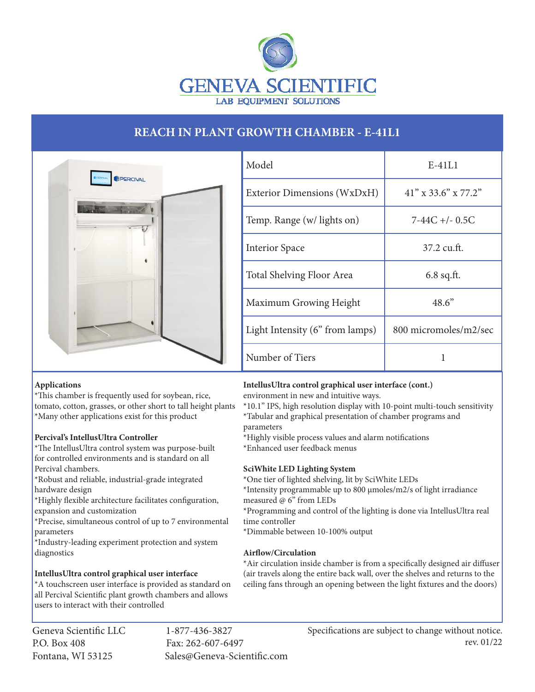

# **REACH IN PLANT GROWTH CHAMBER - E-41L1**



| Model                           | $E-41L1$               |
|---------------------------------|------------------------|
| Exterior Dimensions (WxDxH)     | $41''$ x 33.6" x 77.2" |
| Temp. Range (w/ lights on)      | 7-44C +/- 0.5C         |
| <b>Interior Space</b>           | $37.2 \text{ cu.ft.}$  |
| Total Shelving Floor Area       | $6.8$ sq.ft.           |
| Maximum Growing Height          | 48.6"                  |
| Light Intensity (6" from lamps) | 800 micromoles/m2/sec  |
| Number of Tiers                 |                        |

#### **Applications**

\*This chamber is frequently used for soybean, rice, tomato, cotton, grasses, or other short to tall height plants \*Many other applications exist for this product

# **Percival's IntellusUltra Controller**

\*The IntellusUltra control system was purpose-built for controlled environments and is standard on all Percival chambers.

\*Robust and reliable, industrial-grade integrated hardware design

\*Highly flexible architecture facilitates configuration, expansion and customization

\*Precise, simultaneous control of up to 7 environmental parameters

\*Industry-leading experiment protection and system diagnostics

# **IntellusUltra control graphical user interface**

\*A touchscreen user interface is provided as standard on all Percival Scientific plant growth chambers and allows users to interact with their controlled

Geneva Scientific LLC 1-877-436-3827 P.O. Box 408 Fax: 262-607-6497

Fontana, WI 53125 Sales@Geneva-Scientific.com

# **IntellusUltra control graphical user interface (cont.)**

environment in new and intuitive ways.

\*10.1" IPS, high resolution display with 10-point multi-touch sensitivity \*Tabular and graphical presentation of chamber programs and parameters

\*Highly visible process values and alarm notifications

\*Enhanced user feedback menus

# **SciWhite LED Lighting System**

\*One tier of lighted shelving, lit by SciWhite LEDs

\*Intensity programmable up to 800 µmoles/m2/s of light irradiance measured @ 6" from LEDs

\*Programming and control of the lighting is done via IntellusUltra real time controller

\*Dimmable between 10-100% output

# **Airflow/Circulation**

\*Air circulation inside chamber is from a specifically designed air diffuser (air travels along the entire back wall, over the shelves and returns to the ceiling fans through an opening between the light fixtures and the doors)